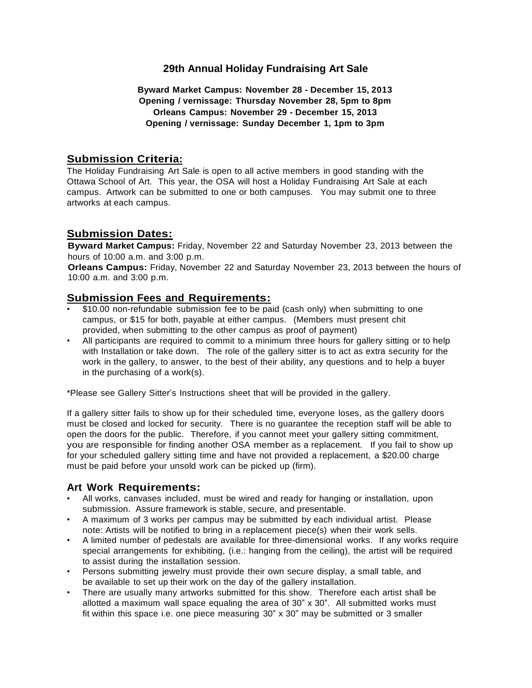# **29th Annual Holiday Fundraising Art Sale**

### **Byward Market Campus: November 28 - December 15, 2013 Opening / vernissage: Thursday November 28, 5pm to 8pm Orleans Campus: November 29 - December 15, 2013 Opening / vernissage: Sunday December 1, 1pm to 3pm**

# **Submission Criteria:**

The Holiday Fundraising Art Sale is open to all active members in good standing with the Ottawa School of Art. This year, the OSA will host a Holiday Fundraising Art Sale at each campus. Artwork can be submitted to one or both campuses. You may submit one to three artworks at each campus.

# **Submission Dates:**

**Byward Market Campus:** Friday, November 22 and Saturday November 23, 2013 between the hours of 10:00 a.m. and 3:00 p.m.

**Orleans Campus:** Friday, November 22 and Saturday November 23, 2013 between the hours of 10:00 a.m. and 3:00 p.m.

# **Submission Fees and Requirements:**

- \$10.00 non-refundable submission fee to be paid (cash only) when submitting to one campus, or \$15 for both, payable at either campus. (Members must present chit provided, when submitting to the other campus as proof of payment)
- All participants are required to commit to a minimum three hours for gallery sitting or to help with Installation or take down. The role of the gallery sitter is to act as extra security for the work in the gallery, to answer, to the best of their ability, any questions and to help a buyer in the purchasing of a work(s).

\*Please see Gallery Sitter's Instructions sheet that will be provided in the gallery.

If a gallery sitter fails to show up for their scheduled time, everyone loses, as the gallery doors must be closed and locked for security. There is no guarantee the reception staff will be able to open the doors for the public. Therefore, if you cannot meet your gallery sitting commitment, you are responsible for finding another OSA member as a replacement. If you fail to show up for your scheduled gallery sitting time and have not provided a replacement, a \$20.00 charge must be paid before your unsold work can be picked up (firm).

## **Art Work Requirements:**

- All works, canvases included, must be wired and ready for hanging or installation, upon submission. Assure framework is stable, secure, and presentable.
- A maximum of 3 works per campus may be submitted by each individual artist. Please note: Artists will be notified to bring in a replacement piece(s) when their work sells.
- A limited number of pedestals are available for three-dimensional works. If any works require special arrangements for exhibiting, (i.e.: hanging from the ceiling), the artist will be required to assist during the installation session.
- Persons submitting jewelry must provide their own secure display, a small table, and be available to set up their work on the day of the gallery installation.
- There are usually many artworks submitted for this show. Therefore each artist shall be allotted a maximum wall space equaling the area of  $30^\circ \times 30^\circ$ . All submitted works must fit within this space i.e. one piece measuring  $30'' \times 30''$  may be submitted or 3 smaller